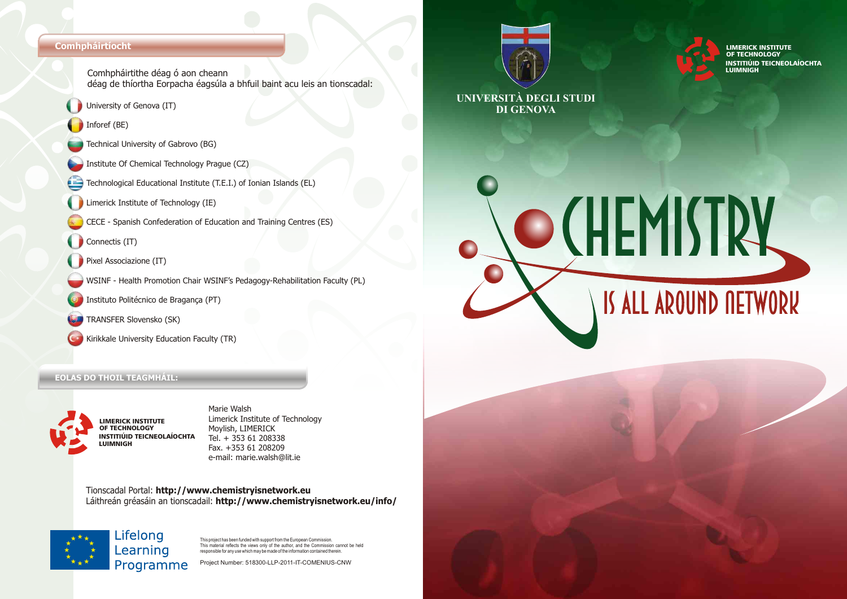#### **Comhpháirtíocht**

- Comhpháirtithe déag ó aon cheann déag de thíortha Eorpacha éagsúla a bhfuil baint acu leis an tionscadal:
- University of Genova (IT)
- Inforef (BE)
- Technical University of Gabrovo (BG)
- Institute Of Chemical Technology Prague (CZ)
- Technological Educational Institute (T.E.I.) of Ionian Islands (EL)
- Limerick Institute of Technology (IE)
- CECE Spanish Confederation of Education and Training Centres (ES)
- Connectis (IT)
- Pixel Associazione (IT)
- WSINF Health Promotion Chair WSINF's Pedagogy-Rehabilitation Faculty (PL)
- Instituto Politécnico de Bragança (PT)
- TRANSFER Slovensko (SK)
- Kirikkale University Education Faculty (TR)

#### **EOLAS DO THOIL TEAGMHÁIL:**



Marie Walsh Limerick Institute of Technology Moylish, LIMERICK Tel. + 353 61 208338 Fax. +353 61 208209 e-mail: marie.walsh@lit.ie

Tionscadal Portal: **http://www.chemistryisnetwork.eu**  Láithreán gréasáin an tionscadail: **http://www.chemistryisnetwork.eu/info/** 



This project has been funded with support from the European Commission. This material reflects the views only of the author, and the Commission cannot be held rms matcher reneeds the wews only of the dution, and the commission can<br>responsible for any use which may be made of the information contained therein

Project Number: 518300-LLP-2011-IT-COMENIUS-CNW





**UNIVERSITÀ DEGLI STUDI DI GENOVA**